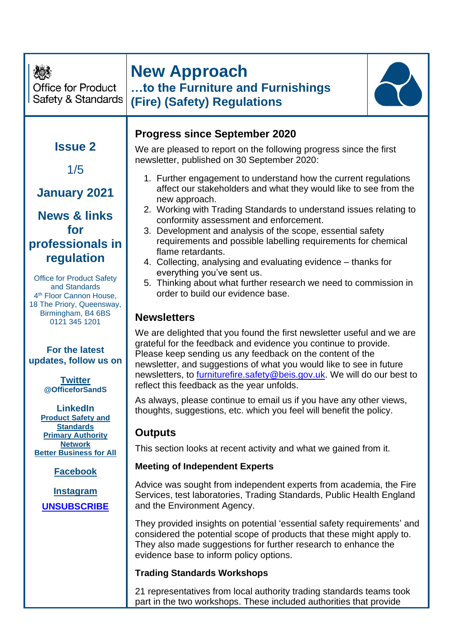| <b>Office for Product</b><br>Safety & Standards                                                                                                                                                              | <b>New Approach</b><br>to the Furniture and Furnishings<br><b>(Fire) (Safety) Regulations</b>                                                                                                                                                                                                                                                                                                                                                                                                                                                                                                                                                                                                                                                                                                 |
|--------------------------------------------------------------------------------------------------------------------------------------------------------------------------------------------------------------|-----------------------------------------------------------------------------------------------------------------------------------------------------------------------------------------------------------------------------------------------------------------------------------------------------------------------------------------------------------------------------------------------------------------------------------------------------------------------------------------------------------------------------------------------------------------------------------------------------------------------------------------------------------------------------------------------------------------------------------------------------------------------------------------------|
| <b>Issue 2</b><br>1/5<br><b>January 2021</b><br><b>News &amp; links</b><br>for<br>professionals in<br>regulation<br><b>Office for Product Safety</b><br>and Standards<br>4 <sup>th</sup> Floor Cannon House, | <b>Progress since September 2020</b><br>We are pleased to report on the following progress since the first<br>newsletter, published on 30 September 2020:<br>1. Further engagement to understand how the current regulations<br>affect our stakeholders and what they would like to see from the<br>new approach.<br>2. Working with Trading Standards to understand issues relating to<br>conformity assessment and enforcement.<br>3. Development and analysis of the scope, essential safety<br>requirements and possible labelling requirements for chemical<br>flame retardants.<br>4. Collecting, analysing and evaluating evidence – thanks for<br>everything you've sent us.<br>5. Thinking about what further research we need to commission in<br>order to build our evidence base. |
| 18 The Priory, Queensway,<br>Birmingham, B4 6BS<br>0121 345 1201                                                                                                                                             | <b>Newsletters</b><br>We are delighted that you found the first newsletter useful and we are                                                                                                                                                                                                                                                                                                                                                                                                                                                                                                                                                                                                                                                                                                  |
| <b>For the latest</b><br>updates, follow us on<br><b>Twitter</b><br>@OfficeforSandS                                                                                                                          | grateful for the feedback and evidence you continue to provide.<br>Please keep sending us any feedback on the content of the<br>newsletter, and suggestions of what you would like to see in future<br>newsletters, to furniturefire.safety@beis.gov.uk. We will do our best to<br>reflect this feedback as the year unfolds.                                                                                                                                                                                                                                                                                                                                                                                                                                                                 |
| <b>LinkedIn</b><br><b>Product Safety and</b><br><b>Standards</b>                                                                                                                                             | As always, please continue to email us if you have any other views,<br>thoughts, suggestions, etc. which you feel will benefit the policy.                                                                                                                                                                                                                                                                                                                                                                                                                                                                                                                                                                                                                                                    |
| <b>Primary Authority</b><br><b>Network</b>                                                                                                                                                                   | <b>Outputs</b>                                                                                                                                                                                                                                                                                                                                                                                                                                                                                                                                                                                                                                                                                                                                                                                |
| <b>Better Business for All</b>                                                                                                                                                                               | This section looks at recent activity and what we gained from it.                                                                                                                                                                                                                                                                                                                                                                                                                                                                                                                                                                                                                                                                                                                             |
| <b>Facebook</b>                                                                                                                                                                                              | <b>Meeting of Independent Experts</b>                                                                                                                                                                                                                                                                                                                                                                                                                                                                                                                                                                                                                                                                                                                                                         |
| <b>Instagram</b><br><b>UNSUBSCRIBE</b>                                                                                                                                                                       | Advice was sought from independent experts from academia, the Fire<br>Services, test laboratories, Trading Standards, Public Health England<br>and the Environment Agency.                                                                                                                                                                                                                                                                                                                                                                                                                                                                                                                                                                                                                    |
|                                                                                                                                                                                                              | They provided insights on potential 'essential safety requirements' and<br>considered the potential scope of products that these might apply to.<br>They also made suggestions for further research to enhance the<br>evidence base to inform policy options.                                                                                                                                                                                                                                                                                                                                                                                                                                                                                                                                 |
|                                                                                                                                                                                                              | <b>Trading Standards Workshops</b>                                                                                                                                                                                                                                                                                                                                                                                                                                                                                                                                                                                                                                                                                                                                                            |
|                                                                                                                                                                                                              | 21 representatives from local authority trading standards teams took<br>part in the two workshops. These included authorities that provide                                                                                                                                                                                                                                                                                                                                                                                                                                                                                                                                                                                                                                                    |
|                                                                                                                                                                                                              |                                                                                                                                                                                                                                                                                                                                                                                                                                                                                                                                                                                                                                                                                                                                                                                               |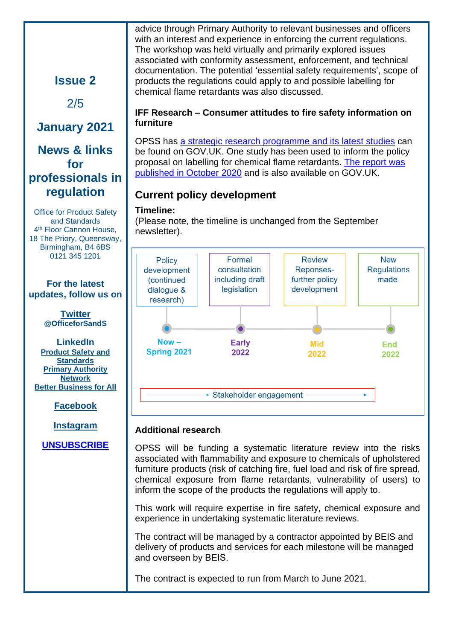advice through Primary Authority to relevant businesses and officers with an interest and experience in enforcing the current regulations. The workshop was held virtually and primarily explored issues associated with conformity assessment, enforcement, and technical documentation. The potential 'essential safety requirements', scope of products the regulations could apply to and possible labelling for chemical flame retardants was also discussed.

#### **IFF Research – Consumer attitudes to fire safety information on furniture**

OPSS has [a strategic research programme](https://www.gov.uk/government/collections/product-safety-research) and its latest studies can be found on GOV.UK. One study has been used to inform the policy proposal on labelling for chemical flame retardants. [The report](https://www.gov.uk/government/publications/consumer-attitudes-to-fire-safety-information-on-furniture) was [published in October](https://www.gov.uk/government/publications/consumer-attitudes-to-fire-safety-information-on-furniture) 2020 and is also available on GOV.UK.

## **Current policy development**

### **Timeline:**

(Please note, the timeline is unchanged from the September newsletter).



### **Additional research**

OPSS will be funding a systematic literature review into the risks associated with flammability and exposure to chemicals of upholstered furniture products (risk of catching fire, fuel load and risk of fire spread, chemical exposure from flame retardants, vulnerability of users) to inform the scope of the products the regulations will apply to.

This work will require expertise in fire safety, chemical exposure and experience in undertaking systematic literature reviews.

The contract will be managed by a contractor appointed by BEIS and delivery of products and services for each milestone will be managed and overseen by BEIS. 

The contract is expected to run from March to June 2021.

# **Issue 2**

2/5

## **January 2021**

## **News & links for professionals in regulation**

Office for Product Safety and Standards 4 th Floor Cannon House, 18 The Priory, Queensway, Birmingham, B4 6BS 0121 345 1201

**For the latest updates, follow us on** 

> **[Twitter](https://twitter.com/) @OfficeforSandS**

**LinkedIn [Product Safety and](https://www.linkedin.com/groups/3818449/)  [Standards](https://www.linkedin.com/groups/3818449/) [Primary Authority](https://www.linkedin.com/groups/4218535/)  [Network](https://www.linkedin.com/groups/4218535/) [Better Business for All](https://www.linkedin.com/groups/6550784/)**

**[Facebook](https://www.facebook.com/ProductSafetyUK)**

**[Instagram](https://www.instagram.com/safetyandstandards/)**

## **[UNSUBSCRIBE](mailto:opssconnectionsall@beis.gov.uk)**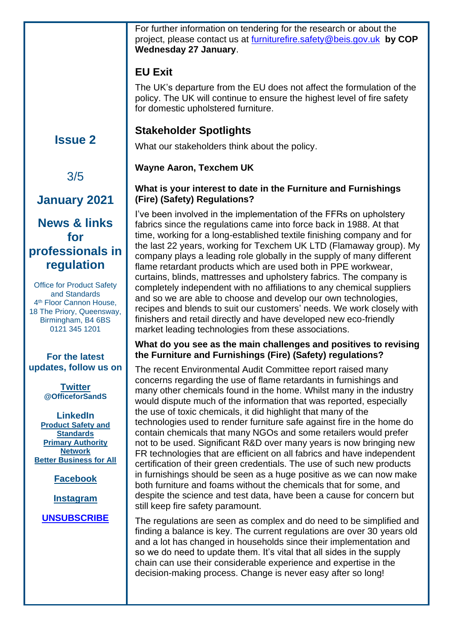For further information on tendering for the research or about the project, please contact us at [furniturefire.safety@beis.gov.uk](mailto:furniturefire.safety@beis.gov.uk) **by COP Wednesday 27 January**.

## **EU Exit**

The UK's departure from the EU does not affect the formulation of the policy. The UK will continue to ensure the highest level of fire safety for domestic upholstered furniture.

## **Stakeholder Spotlights**

What our stakeholders think about the policy.

### **Wayne Aaron, Texchem UK**

### **What is your interest to date in the Furniture and Furnishings (Fire) (Safety) Regulations?**

I've been involved in the implementation of the FFRs on upholstery fabrics since the regulations came into force back in 1988. At that time, working for a long-established textile finishing company and for the last 22 years, working for Texchem UK LTD (Flamaway group). My company plays a leading role globally in the supply of many different flame retardant products which are used both in PPE workwear, curtains, blinds, mattresses and upholstery fabrics. The company is completely independent with no affiliations to any chemical suppliers and so we are able to choose and develop our own technologies, recipes and blends to suit our customers' needs. We work closely with finishers and retail directly and have developed new eco-friendly market leading technologies from these associations.

### **What do you see as the main challenges and positives to revising the Furniture and Furnishings (Fire) (Safety) regulations?**

The recent Environmental Audit Committee report raised many concerns regarding the use of flame retardants in furnishings and many other chemicals found in the home. Whilst many in the industry would dispute much of the information that was reported, especially the use of toxic chemicals, it did highlight that many of the technologies used to render furniture safe against fire in the home do contain chemicals that many NGOs and some retailers would prefer not to be used. Significant R&D over many years is now bringing new FR technologies that are efficient on all fabrics and have independent certification of their green credentials. The use of such new products in furnishings should be seen as a huge positive as we can now make both furniture and foams without the chemicals that for some, and despite the science and test data, have been a cause for concern but still keep fire safety paramount.

The regulations are seen as complex and do need to be simplified and finding a balance is key. The current regulations are over 30 years old and a lot has changed in households since their implementation and so we do need to update them. It's vital that all sides in the supply chain can use their considerable experience and expertise in the decision-making process. Change is never easy after so long!

# **Issue 2**

# 3/5

# **January 2021**

## **News & links for professionals in regulation**

Office for Product Safety and Standards 4 th Floor Cannon House, 18 The Priory, Queensway, Birmingham, B4 6BS 0121 345 1201

### **For the latest updates, follow us on**

**[Twitter](https://twitter.com/) @OfficeforSandS**

**LinkedIn [Product Safety and](https://www.linkedin.com/groups/3818449/)  [Standards](https://www.linkedin.com/groups/3818449/) [Primary Authority](https://www.linkedin.com/groups/4218535/)  [Network](https://www.linkedin.com/groups/4218535/) [Better Business for All](https://www.linkedin.com/groups/6550784/)**

**[Facebook](https://www.facebook.com/ProductSafetyUK)**

**[Instagram](https://www.instagram.com/safetyandstandards/)**

## **[UNSUBSCRIBE](mailto:opssconnectionsall@beis.gov.uk)**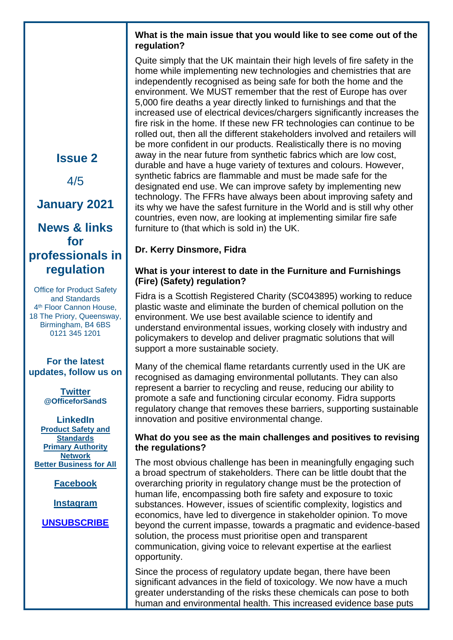#### **What is the main issue that you would like to see come out of the regulation?**

Quite simply that the UK maintain their high levels of fire safety in the home while implementing new technologies and chemistries that are independently recognised as being safe for both the home and the environment. We MUST remember that the rest of Europe has over 5,000 fire deaths a year directly linked to furnishings and that the increased use of electrical devices/chargers significantly increases the fire risk in the home. If these new FR technologies can continue to be rolled out, then all the different stakeholders involved and retailers will be more confident in our products. Realistically there is no moving away in the near future from synthetic fabrics which are low cost, durable and have a huge variety of textures and colours. However, synthetic fabrics are flammable and must be made safe for the designated end use. We can improve safety by implementing new technology. The FFRs have always been about improving safety and its why we have the safest furniture in the World and is still why other countries, even now, are looking at implementing similar fire safe furniture to (that which is sold in) the UK.

### **Dr. Kerry Dinsmore, Fidra**

#### **What is your interest to date in the Furniture and Furnishings (Fire) (Safety) regulation?**

Fidra is a Scottish Registered Charity (SC043895) working to reduce plastic waste and eliminate the burden of chemical pollution on the environment. We use best available science to identify and understand environmental issues, working closely with industry and policymakers to develop and deliver pragmatic solutions that will support a more sustainable society.

Many of the chemical flame retardants currently used in the UK are recognised as damaging environmental pollutants. They can also represent a barrier to recycling and reuse, reducing our ability to promote a safe and functioning circular economy. Fidra supports regulatory change that removes these barriers, supporting sustainable innovation and positive environmental change.

#### **What do you see as the main challenges and positives to revising the regulations?**

The most obvious challenge has been in meaningfully engaging such a broad spectrum of stakeholders. There can be little doubt that the overarching priority in regulatory change must be the protection of human life, encompassing both fire safety and exposure to toxic substances. However, issues of scientific complexity, logistics and economics, have led to divergence in stakeholder opinion. To move beyond the current impasse, towards a pragmatic and evidence-based solution, the process must prioritise open and transparent communication, giving voice to relevant expertise at the earliest opportunity.

Since the process of regulatory update began, there have been significant advances in the field of toxicology. We now have a much greater understanding of the risks these chemicals can pose to both human and environmental health. This increased evidence base puts

**Issue 2**

4/5

# **January 2021**

## **News & links for professionals in regulation**

Office for Product Safety and Standards 4 th Floor Cannon House, 18 The Priory, Queensway, Birmingham, B4 6BS 0121 345 1201

#### **For the latest updates, follow us on**

**[Twitter](https://twitter.com/) @OfficeforSandS**

**LinkedIn [Product Safety and](https://www.linkedin.com/groups/3818449/)  [Standards](https://www.linkedin.com/groups/3818449/) [Primary Authority](https://www.linkedin.com/groups/4218535/)  [Network](https://www.linkedin.com/groups/4218535/) [Better Business for All](https://www.linkedin.com/groups/6550784/)**

**[Facebook](https://www.facebook.com/ProductSafetyUK)**

**[Instagram](https://www.instagram.com/safetyandstandards/)**

### **[UNSUBSCRIBE](mailto:opssconnectionsall@beis.gov.uk)**